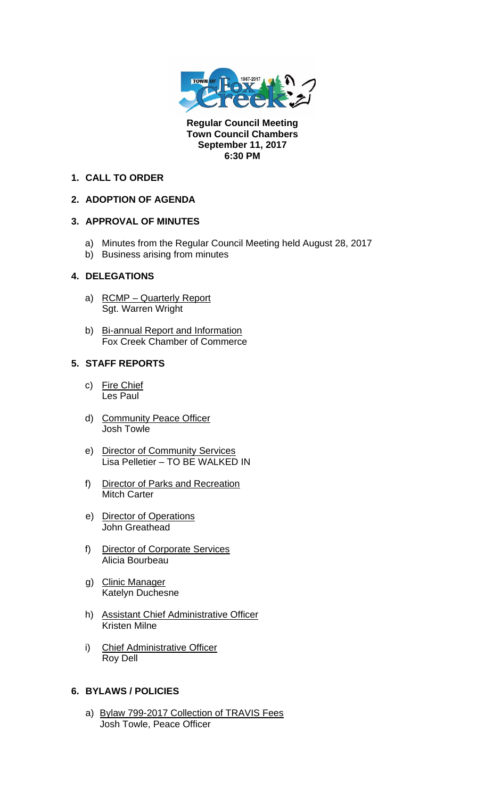

**Regular Council Meeting Town Council Chambers September 11, 2017 6:30 PM** 

## **1. CALL TO ORDER**

# **2. ADOPTION OF AGENDA**

# **3. APPROVAL OF MINUTES**

- a) Minutes from the Regular Council Meeting held August 28, 2017
- b) Business arising from minutes

# **4. DELEGATIONS**

- a) RCMP Quarterly Report Sgt. Warren Wright
- b) Bi-annual Report and Information Fox Creek Chamber of Commerce

#### **5. STAFF REPORTS**

- c) Fire Chief Les Paul
- d) Community Peace Officer Josh Towle
- e) Director of Community Services Lisa Pelletier – TO BE WALKED IN
- f) Director of Parks and Recreation Mitch Carter
- e) Director of Operations John Greathead
- f) Director of Corporate Services Alicia Bourbeau
- g) Clinic Manager Katelyn Duchesne
- h) Assistant Chief Administrative Officer Kristen Milne
- i) Chief Administrative Officer Roy Dell

# **6. BYLAWS / POLICIES**

a) Bylaw 799-2017 Collection of TRAVIS Fees Josh Towle, Peace Officer